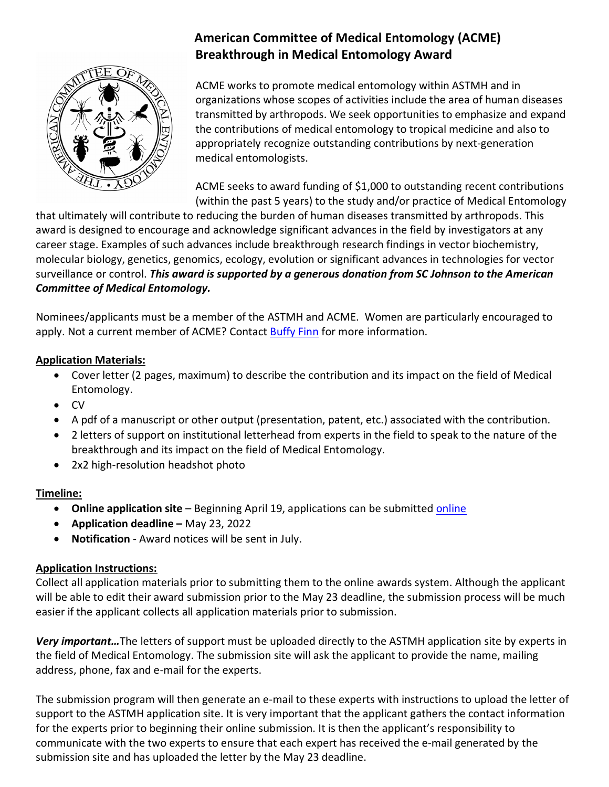

# **American Committee of Medical Entomology (ACME) Breakthrough in Medical Entomology Award**

ACME works to promote medical entomology within ASTMH and in organizations whose scopes of activities include the area of human diseases transmitted by arthropods. We seek opportunities to emphasize and expand the contributions of medical entomology to tropical medicine and also to appropriately recognize outstanding contributions by next-generation medical entomologists.

ACME seeks to award funding of \$1,000 to outstanding recent contributions (within the past 5 years) to the study and/or practice of Medical Entomology

that ultimately will contribute to reducing the burden of human diseases transmitted by arthropods. This award is designed to encourage and acknowledge significant advances in the field by investigators at any career stage. Examples of such advances include breakthrough research findings in vector biochemistry, molecular biology, genetics, genomics, ecology, evolution or significant advances in technologies for vector surveillance or control. *This award is supported by a generous donation from SC Johnson to the American Committee of Medical Entomology.*

Nominees/applicants must be a member of the ASTMH and ACME. Women are particularly encouraged to apply. Not a current member of ACME? Contact [Buffy Finn](mailto:bfinn@astmh.org) for more information.

## **Application Materials:**

- Cover letter (2 pages, maximum) to describe the contribution and its impact on the field of Medical Entomology.
- CV
- A pdf of a manuscript or other output (presentation, patent, etc.) associated with the contribution.
- 2 letters of support on institutional letterhead from experts in the field to speak to the nature of the breakthrough and its impact on the field of Medical Entomology.
- 2x2 high-resolution headshot photo

### **Timeline:**

- **Online application site** Beginning April 19, applications can be submitted [online](http://www.astmh.org/awards-fellowships-medals/awards-and-honors/nomination-submissions)
- **Application deadline –** May 23, 2022
- **Notification**  Award notices will be sent in July.

### **Application Instructions:**

Collect all application materials prior to submitting them to the online awards system. Although the applicant will be able to edit their award submission prior to the May 23 deadline, the submission process will be much easier if the applicant collects all application materials prior to submission.

*Very important…*The letters of support must be uploaded directly to the ASTMH application site by experts in the field of Medical Entomology. The submission site will ask the applicant to provide the name, mailing address, phone, fax and e-mail for the experts.

The submission program will then generate an e-mail to these experts with instructions to upload the letter of support to the ASTMH application site. It is very important that the applicant gathers the contact information for the experts prior to beginning their online submission. It is then the applicant's responsibility to communicate with the two experts to ensure that each expert has received the e-mail generated by the submission site and has uploaded the letter by the May 23 deadline.